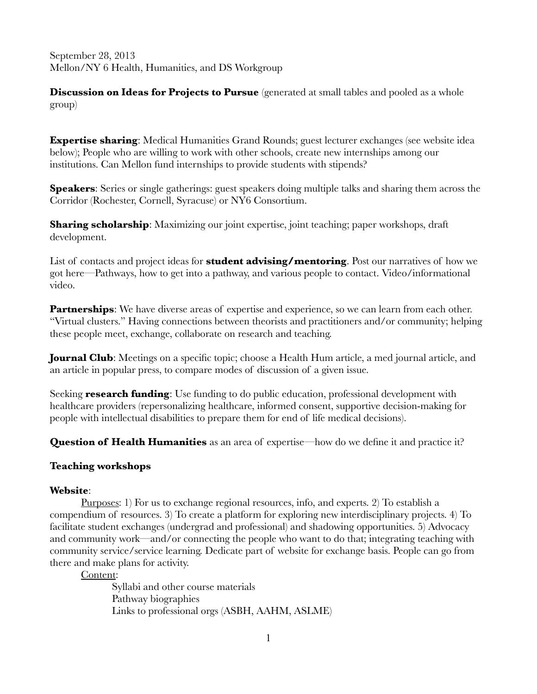September 28, 2013 Mellon/NY 6 Health, Humanities, and DS Workgroup

**Discussion on Ideas for Projects to Pursue** (generated at small tables and pooled as a whole group)

**Expertise sharing:** Medical Humanities Grand Rounds; guest lecturer exchanges (see website idea below); People who are willing to work with other schools, create new internships among our institutions. Can Mellon fund internships to provide students with stipends?

**Speakers:** Series or single gatherings: guest speakers doing multiple talks and sharing them across the Corridor (Rochester, Cornell, Syracuse) or NY6 Consortium.

**Sharing scholarship**: Maximizing our joint expertise, joint teaching; paper workshops, draft development.

List of contacts and project ideas for **student advising/mentoring**. Post our narratives of how we got here—Pathways, how to get into a pathway, and various people to contact. Video/informational video.

**Partnerships:** We have diverse areas of expertise and experience, so we can learn from each other. "Virtual clusters." Having connections between theorists and practitioners and/or community; helping these people meet, exchange, collaborate on research and teaching.

**Journal Club**: Meetings on a specific topic; choose a Health Hum article, a med journal article, and an article in popular press, to compare modes of discussion of a given issue.

Seeking **research funding**: Use funding to do public education, professional development with healthcare providers (repersonalizing healthcare, informed consent, supportive decision-making for people with intellectual disabilities to prepare them for end of life medical decisions).

**Question of Health Humanities** as an area of expertise—how do we define it and practice it?

### **Teaching workshops**

### **Website**:

Purposes: 1) For us to exchange regional resources, info, and experts. 2) To establish a compendium of resources. 3) To create a platform for exploring new interdisciplinary projects. 4) To facilitate student exchanges (undergrad and professional) and shadowing opportunities. 5) Advocacy and community work—and/or connecting the people who want to do that; integrating teaching with community service/service learning. Dedicate part of website for exchange basis. People can go from there and make plans for activity.

Content:

Syllabi and other course materials Pathway biographies Links to professional orgs (ASBH, AAHM, ASLME)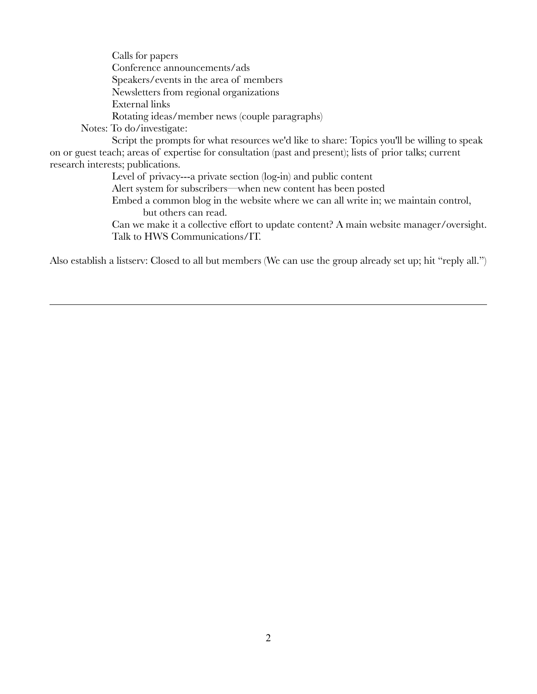Calls for papers Conference announcements/ads Speakers/events in the area of members Newsletters from regional organizations External links Rotating ideas/member news (couple paragraphs)

Notes: To do/investigate:

Script the prompts for what resources we'd like to share: Topics you'll be willing to speak on or guest teach; areas of expertise for consultation (past and present); lists of prior talks; current research interests; publications.

Level of privacy---a private section (log-in) and public content

Alert system for subscribers—when new content has been posted

Embed a common blog in the website where we can all write in; we maintain control, but others can read.

Can we make it a collective effort to update content? A main website manager/oversight. Talk to HWS Communications/IT.

Also establish a listserv: Closed to all but members (We can use the group already set up; hit "reply all.")